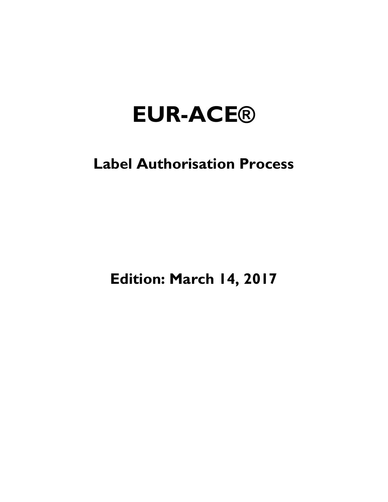# **EUR-ACE®**

## **Label Authorisation Process**

**Edition: March 14, 2017**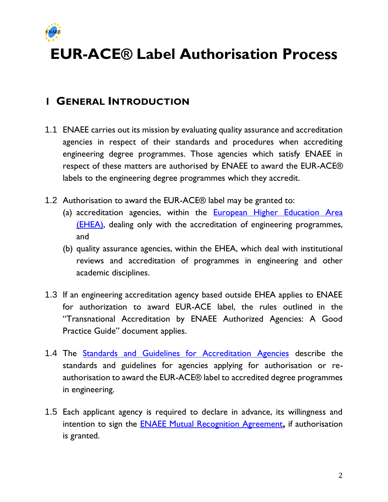

## **EUR-ACE® Label Authorisation**

## **1 GENERAL INTRODUCTION**

- 1.1 ENAEE carries out its mission by evaluating quality assurance and accreditation agencies in respect of their standards and procedures when accrediting engineering degree programmes. Those agencies which satisfy ENAEE in respect of these matters are authorised by ENAEE to award the EUR-ACE® labels to the engineering degree programmes which they accredit.
- 1.2 Authorisation to award the EUR-ACE® label may be granted to:
	- (a) accreditation agencies, within the **European Higher Education Area** [\(EHEA\),](http://www.ehea.info/) dealing only with the accreditation of engineering programmes, and
	- (b) quality assurance agencies, within the EHEA, which deal with institutional reviews and accreditation of programmes in engineering and other academic disciplines.
- 1.3 If an engineering accreditation agency based outside EHEA applies to ENAEE for authorization to award EUR-ACE label, the rules outlined in the "Transnational Accreditation by ENAEE Authorized Agencies: A Good Practice Guide" document applies.
- 1.4 The [Standards and Guidelines for Accreditation Agencies](https://www.enaee.eu/eur-ace-system/standards-and-guidelines/#standards-and-guidelines-for-accreditation-agencies) describe the standards and guidelines for agencies applying for authorisation or reauthorisation to award the EUR-ACE® label to accredited degree programmes in engineering.
- 1.5 Each applicant agency is required to declare in advance, its willingness and intention to sign the [ENAEE Mutual Recognition Agreement](https://www.enaee.eu/wp-content/uploads/2018/11/MRA-agreement-A3-signed.pdf)**,** if authorisation is granted.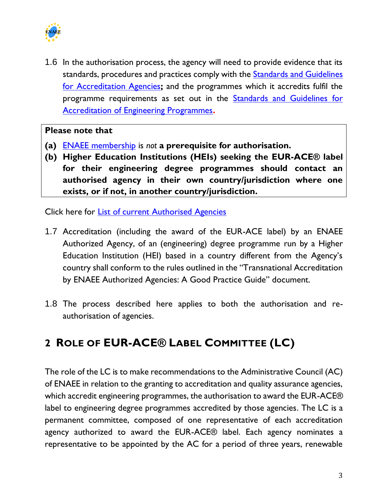

1.6 In the authorisation process, the agency will need to provide evidence that its standards, procedures and practices comply with the **Standards and Guidelines** [for Accreditation Agencies](https://www.enaee.eu/eur-ace-system/standards-and-guidelines/#standards-and-guidelines-for-accreditation-agencies)**;** and the programmes which it accredits fulfil the programme requirements as set out in the **Standards and Guidelines for** [Accreditation of Engineering Programmes](https://www.enaee.eu/eurm-ace-system/standards-and-guidelines/#standards-and-guidelines-for-accreditation-of-engineering-programmes)**.**

#### **Please note that**

- **(a)** [ENAEE membership](https://www.enaee.eu/members) is *not* **a prerequisite for authorisation.**
- **(b) Higher Education Institutions (HEIs) seeking the EUR-ACE® label for their engineering degree programmes should contact an authorised agency in their own country/jurisdiction where one exists, or if not, in another country/jurisdiction.**

Click here for **List of current Authorised Agencies** 

- 1.7 Accreditation (including the award of the EUR-ACE label) by an ENAEE Authorized Agency, of an (engineering) degree programme run by a Higher Education Institution (HEI) based in a country different from the Agency's country shall conform to the rules outlined in the "Transnational Accreditation by ENAEE Authorized Agencies: A Good Practice Guide" document.
- 1.8 The process described here applies to both the authorisation and reauthorisation of agencies.

## **2 ROLE OF EUR-ACE® LABEL COMMITTEE (LC)**

The role of the LC is to make recommendations to the [Administrative Council \(AC\)](https://www.enaee.eu/about-enaee/structure-of-enaee/#administrative-council) of ENAEE in relation to the granting to accreditation and quality assurance agencies, which accredit engineering programmes, the authorisation to award the EUR-ACE® label to engineering degree programmes [accredited by those agencies.](https://www.enaee.eu/about-enaee/structure-of-enaee/) The LC is a permanent committee, composed of one representative of each accreditation agency authorized to award the EUR-ACE® label. Each agency nominates a representative to be appointed by the AC for a period of three years, renewable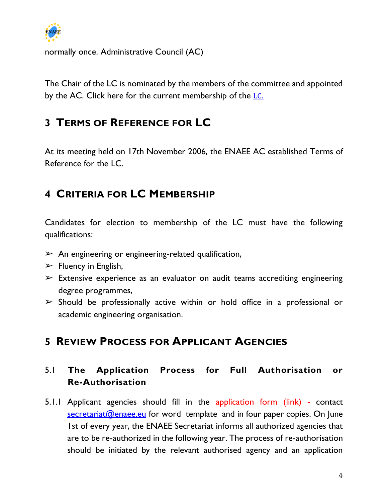

normally once. [Administrative Council \(AC\)](https://www.enaee.eu/about-enaee/structure-of-enaee/#administrative-council)

The Chair of the LC is nominated by the members of the committee and appointed by the AC. Click here for the current membership of the [LC](https://www.enaee.eu/about-enaee/structure-of-enaee/#EUR-ACE-label-committee)[.](https://www.enaee.eu/about-enaee/structure-of-enaee/#EUR-ACE-label-committee)

## **3 TERMS OF REFERENCE FOR LC**

At its meeting held on 17th November 2006, the ENAEE AC established Terms of Reference for the LC.

## **4 CRITERIA FOR LC MEMBERSHIP**

Candidates for election to membership of the LC must have the following qualifications:

- $\triangleright$  An engineering or engineering-related qualification,
- $\triangleright$  Fluency in English,
- $\triangleright$  Extensive experience as an evaluator on audit teams accrediting engineering degree programmes,
- $\triangleright$  Should be professionally active within or hold office in a professional or academic engineering organisation.

## **5 REVIEW PROCESS FOR APPLICANT AGENCIES**

#### 5.1 **The Application Process for Full Authorisation or Re-Authorisation**

5.1.1 Applicant agencies should fill in the application form (link) - contact  $s$  ecretariat  $\omega$  enase.eu for word template and in four paper copies. On June 1st of every year, the ENAEE Secretariat informs all authorized agencies that are to be re-authorized in the following year. The process of re-authorisation should be initiated by the relevant authorised agency and an application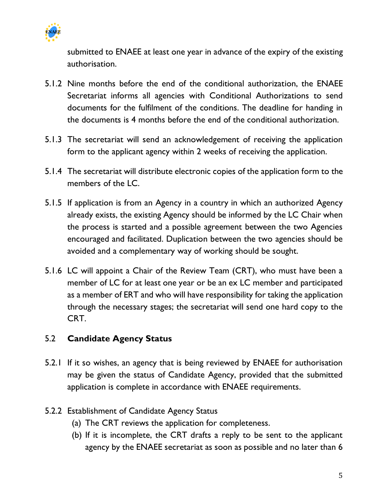

submitted to ENAEE at least one year in advance of the expiry of the existing authorisation.

- 5.1.2 Nine months before the end of the conditional authorization, the ENAEE Secretariat informs all agencies with Conditional Authorizations to send documents for the fulfilment of the conditions. The deadline for handing in the documents is 4 months before the end of the conditional authorization.
- 5.1.3 The secretariat will send an acknowledgement of receiving the application form to the applicant agency within 2 weeks of receiving the application.
- 5.1.4 The secretariat will distribute electronic copies of the application form to the members of the LC.
- 5.1.5 If application is from an Agency in a country in which an authorized Agency already exists, the existing Agency should be informed by the LC Chair when the process is started and a possible agreement between the two Agencies encouraged and facilitated. Duplication between the two agencies should be avoided and a complementary way of working should be sought.
- 5.1.6 LC will appoint a Chair of the Review Team (CRT), who must have been a member of LC for at least one year or be an ex LC member and participated as a member of ERT and who will have responsibility for taking the application through the necessary stages; the secretariat will send one hard copy to the CRT.

#### 5.2 **Candidate Agency Status**

- 5.2.1 If it so wishes, an agency that is being reviewed by ENAEE for authorisation may be given the status of Candidate Agency, provided that the submitted application is complete in accordance with ENAEE requirements.
- 5.2.2 Establishment of Candidate Agency Status
	- (a) The CRT reviews the application for completeness.
	- (b) If it is incomplete, the CRT drafts a reply to be sent to the applicant agency by the ENAEE secretariat as soon as possible and no later than 6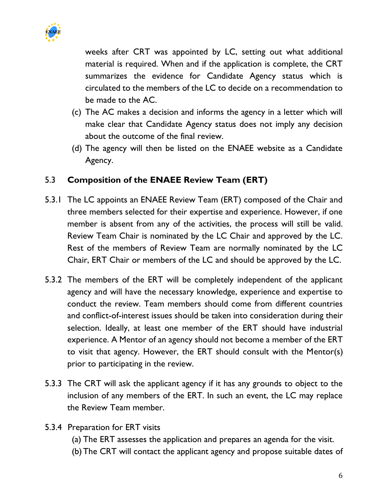

weeks after CRT was appointed by LC, setting out what additional material is required. When and if the application is complete, the CRT summarizes the evidence for Candidate Agency status which is circulated to the members of the LC to decide on a recommendation to be made to the AC.

- (c) The AC makes a decision and informs the agency in a letter which will make clear that Candidate Agency status does not imply any decision about the outcome of the final review.
- (d) The agency will then be listed on the ENAEE website as a Candidate Agency.

#### 5.3 **Composition of the ENAEE Review Team (ERT)**

- 5.3.1 The LC appoints an ENAEE Review Team (ERT) composed of the Chair and three members selected for their expertise and experience. However, if one member is absent from any of the activities, the process will still be valid. Review Team Chair is nominated by the LC Chair and approved by the LC. Rest of the members of Review Team are normally nominated by the LC Chair, ERT Chair or members of the LC and should be approved by the LC.
- 5.3.2 The members of the ERT will be completely independent of the applicant agency and will have the necessary knowledge, experience and expertise to conduct the review. Team members should come from different countries and conflict-of-interest issues should be taken into consideration during their selection. Ideally, at least one member of the ERT should have industrial experience. A Mentor of an agency should not become a member of the ERT to visit that agency. However, the ERT should consult with the Mentor(s) prior to participating in the review.
- 5.3.3 The CRT will ask the applicant agency if it has any grounds to object to the inclusion of any members of the ERT. In such an event, the LC may replace the Review Team member.
- 5.3.4 Preparation for ERT visits
	- (a) The ERT assesses the application and prepares an agenda for the visit.
	- (b)The CRT will contact the applicant agency and propose suitable dates of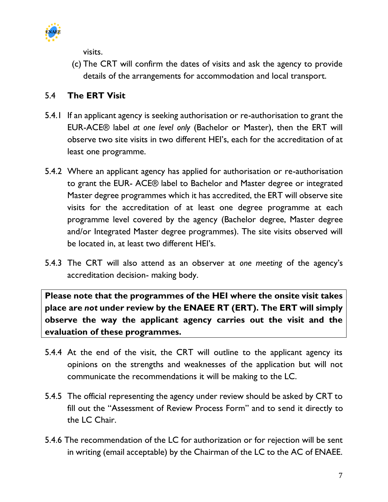

visits.

(c) The CRT will confirm the dates of visits and ask the agency to provide details of the arrangements for accommodation and local transport.

#### 5.4 **The ERT Visit**

- 5.4.1 If an applicant agency is seeking authorisation or re-authorisation to grant the EUR-ACE® label *at one level only* (Bachelor or Master), then the ERT will observe two site visits in two different HEI's, each for the accreditation of at least one programme.
- 5.4.2 Where an applicant agency has applied for authorisation or re-authorisation to grant the EUR- ACE® label to Bachelor and Master degree or integrated Master degree programmes which it has accredited, the ERT will observe site visits for the accreditation of at least one degree programme at each programme level covered by the agency (Bachelor degree, Master degree and/or Integrated Master degree programmes). The site visits observed will be located in, at least two different HEI's.
- 5.4.3 The CRT will also attend as an observer at *one meeting* of the agency's accreditation decision- making body.

**Please note that the programmes of the HEI where the onsite visit takes place are** *not* **under review by the ENAEE RT (ERT). The ERT will simply observe the way the applicant agency carries out the visit and the evaluation of these programmes.** 

- 5.4.4 At the end of the visit, the CRT will outline to the applicant agency its opinions on the strengths and weaknesses of the application but will not communicate the recommendations it will be making to the LC.
- 5.4.5 The official representing the agency under review should be asked by CRT to fill out the "Assessment of Review Process Form" and to send it directly to the LC Chair.
- 5.4.6 The recommendation of the LC for authorization or for rejection will be sent in writing (email acceptable) by the Chairman of the LC to the AC of ENAEE.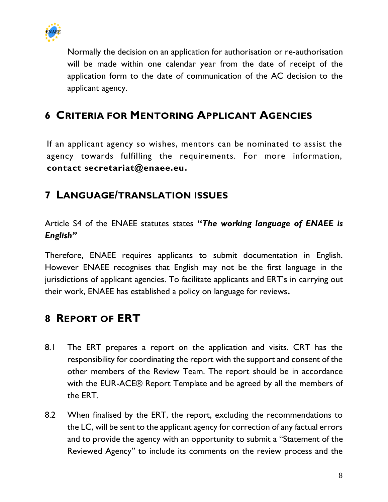

Normally the decision on an application for authorisation or re-authorisation will be made within one calendar year from the date of receipt of the application form to the date of communication of the AC decision to the applicant agency.

## **6 CRITERIA FOR MENTORING APPLICANT AGENCIES**

If an applicant agency so wishes, mentors can be nominated to assist the agency towards fulfilling the requirements. For more information, **contact secretariat@enaee.eu.**

### **7 LANGUAGE/TRANSLATION ISSUES**

Article S4 of the ENAEE statutes states **"***The working language of ENAEE is English"*

Therefore, ENAEE requires applicants to submit documentation in English. However ENAEE recognises that English may not be the first language in the jurisdictions of applicant agencies. To facilitate applicants and ERT's in carrying out their work, ENAEE has established a policy on language for reviews**.** 

### **8 REPORT OF ERT**

- 8.1 The ERT prepares a report on the application and visits. CRT has the responsibility for coordinating the report with the support and consent of the other members of the Review Team. The report should be in accordance with the EUR-ACE® Report Template and be agreed by all the members of the ERT.
- 8.2 When finalised by the ERT, the report, excluding the recommendations to the LC, will be sent to the applicant agency for correction of any factual errors and to provide the agency with an opportunity to submit a "Statement of the Reviewed Agency" to include its comments on the review process and the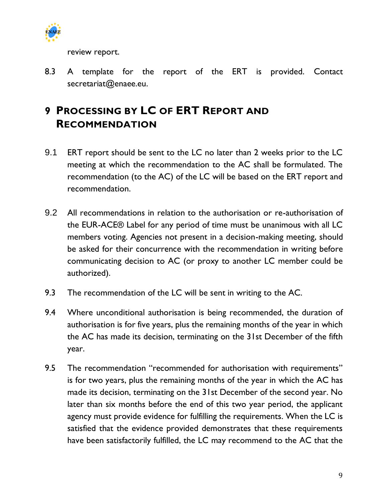

review report.

8.3 A template for the report of the ERT is provided. Contact secretariat@enaee.eu.

## **9 PROCESSING BY LC OF ERT REPORT AND RECOMMENDATION**

- 9.1 ERT report should be sent to the LC no later than 2 weeks prior to the LC meeting at which the recommendation to the AC shall be formulated. The recommendation (to the AC) of the LC will be based on the ERT report and recommendation.
- 9.2 All recommendations in relation to the authorisation or re-authorisation of the EUR-ACE® Label for any period of time must be unanimous with all LC members voting. Agencies not present in a decision-making meeting, should be asked for their concurrence with the recommendation in writing before communicating decision to AC (or proxy to another LC member could be authorized).
- 9.3 The recommendation of the LC will be sent in writing to the AC.
- 9.4 Where unconditional authorisation is being recommended, the duration of authorisation is for five years, plus the remaining months of the year in which the AC has made its decision, terminating on the 31st December of the fifth year.
- 9.5 The recommendation "recommended for authorisation with requirements" is for two years, plus the remaining months of the year in which the AC has made its decision, terminating on the 31st December of the second year. No later than six months before the end of this two year period, the applicant agency must provide evidence for fulfilling the requirements. When the LC is satisfied that the evidence provided demonstrates that these requirements have been satisfactorily fulfilled, the LC may recommend to the AC that the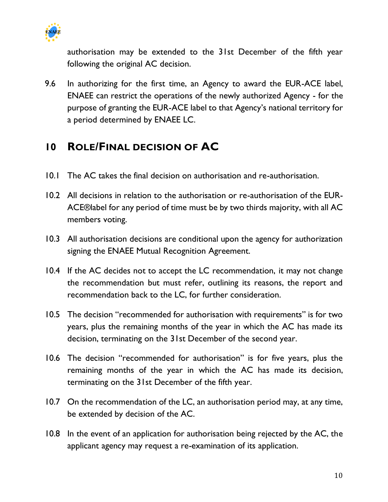

authorisation may be extended to the 31st December of the fifth year following the original AC decision.

9.6 In authorizing for the first time, an Agency to award the EUR-ACE label, ENAEE can restrict the operations of the newly authorized Agency - for the purpose of granting the EUR-ACE label to that Agency's national territory for a period determined by ENAEE LC.

## **10 ROLE/FINAL DECISION OF AC**

- 10.1 The AC takes the final decision on authorisation and re-authorisation.
- 10.2 All decisions in relation to the authorisation or re-authorisation of the EUR-ACE®label for any period of time must be by two thirds majority, with all AC members voting.
- 10.3 All authorisation decisions are conditional upon the agency for authorization signing the ENAEE Mutual Recognition Agreement.
- 10.4 If the AC decides not to accept the LC recommendation, it may not change the recommendation but must refer, outlining its reasons, the report and recommendation back to the LC, for further consideration.
- 10.5 The decision "recommended for authorisation with requirements" is for two years, plus the remaining months of the year in which the AC has made its decision, terminating on the 31st December of the second year.
- 10.6 The decision "recommended for authorisation" is for five years, plus the remaining months of the year in which the AC has made its decision, terminating on the 31st December of the fifth year.
- 10.7 On the recommendation of the LC, an authorisation period may, at any time, be extended by decision of the AC.
- 10.8 In the event of an application for authorisation being rejected by the AC, the applicant agency may request a re-examination of its application.